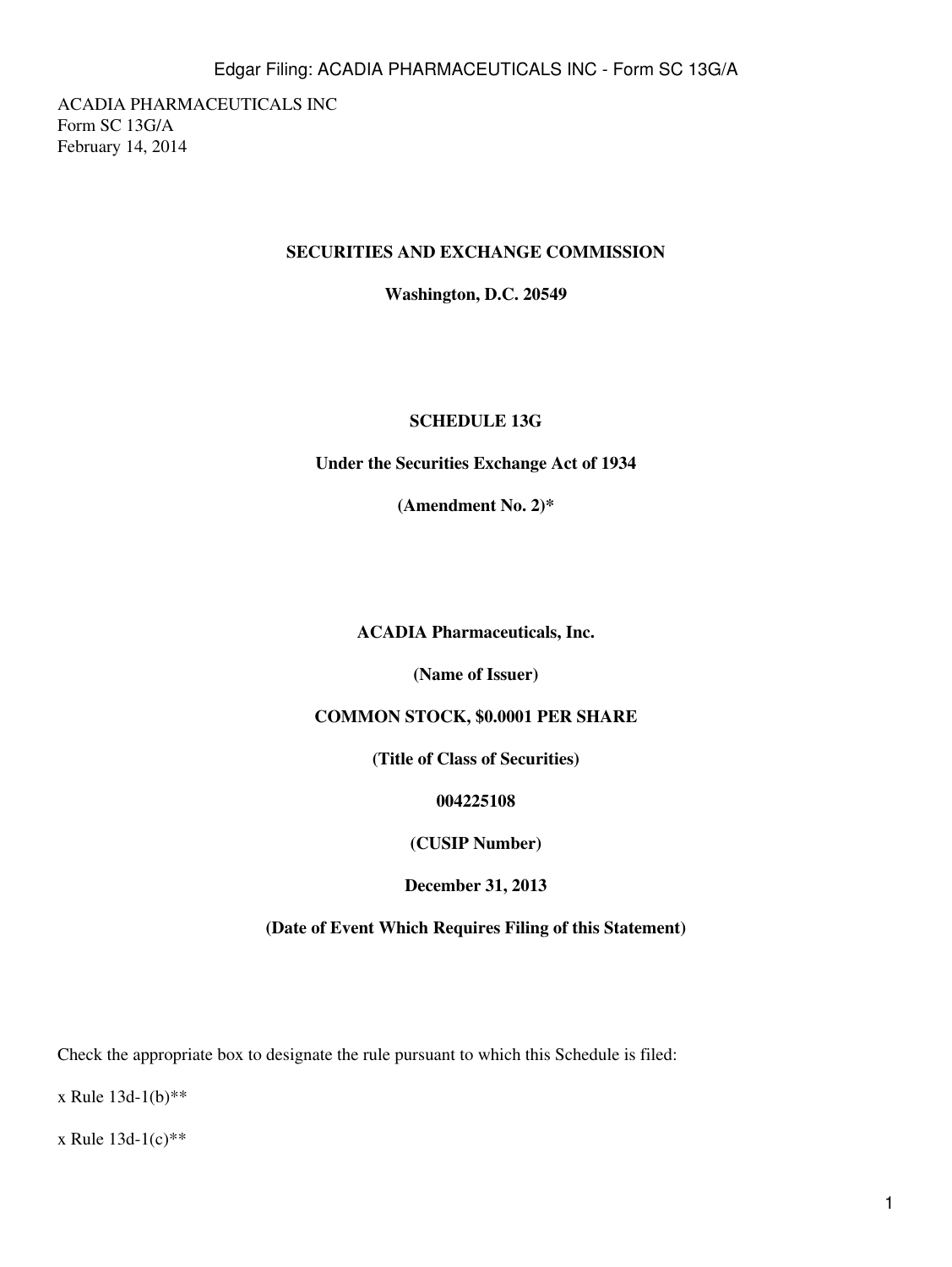ACADIA PHARMACEUTICALS INC Form SC 13G/A February 14, 2014

## **SECURITIES AND EXCHANGE COMMISSION**

**Washington, D.C. 20549**

## **SCHEDULE 13G**

**Under the Securities Exchange Act of 1934**

**(Amendment No. 2)\***

**ACADIA Pharmaceuticals, Inc.**

**(Name of Issuer)**

# **COMMON STOCK, \$0.0001 PER SHARE**

**(Title of Class of Securities)**

**004225108**

**(CUSIP Number)**

**December 31, 2013**

**(Date of Event Which Requires Filing of this Statement)**

Check the appropriate box to designate the rule pursuant to which this Schedule is filed:

x Rule 13d-1(b)\*\*

x Rule 13d-1(c)\*\*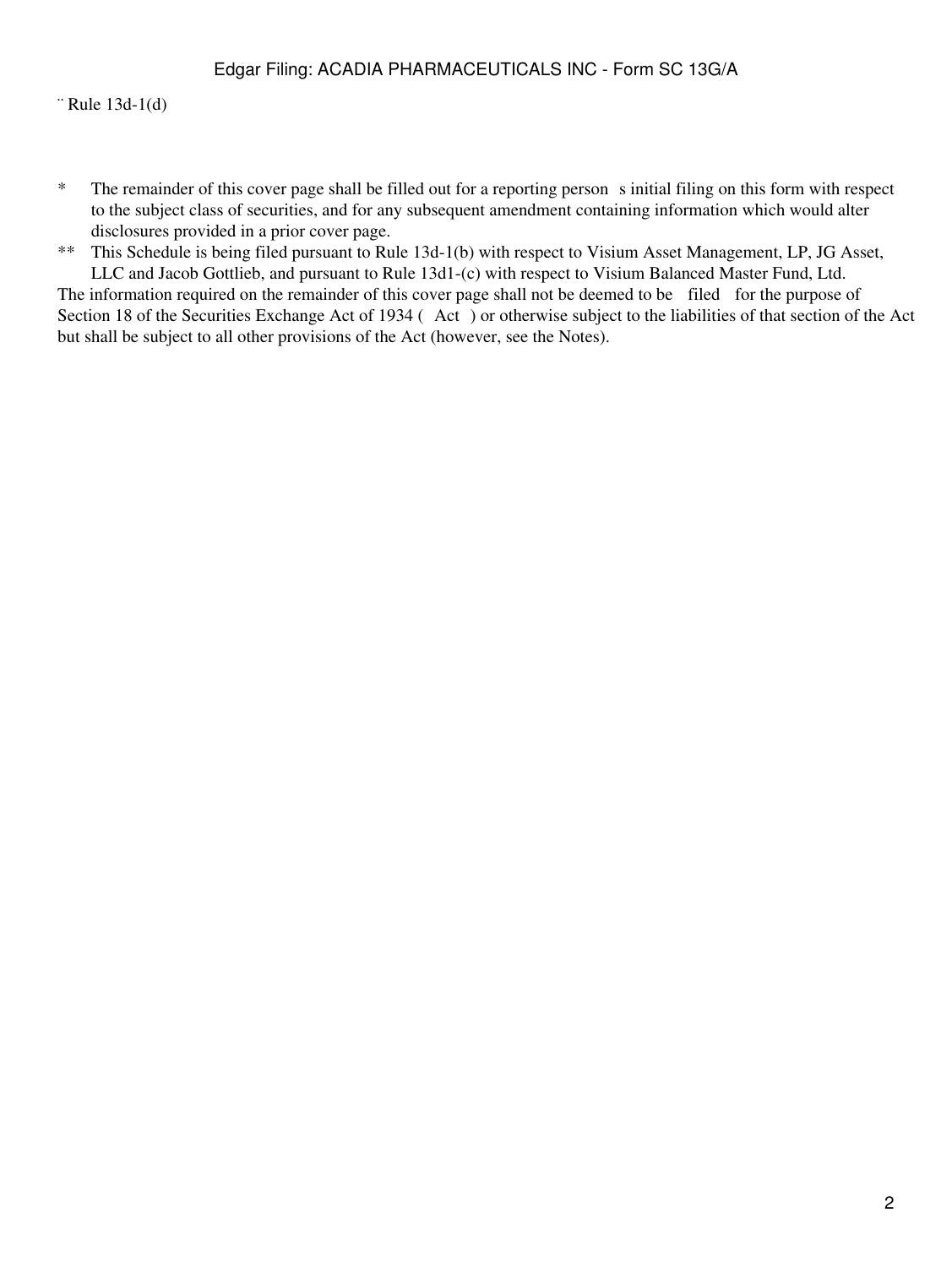¨ Rule 13d-1(d)

\* The remainder of this cover page shall be filled out for a reporting persons initial filing on this form with respect to the subject class of securities, and for any subsequent amendment containing information which would alter disclosures provided in a prior cover page.

\*\* This Schedule is being filed pursuant to Rule 13d-1(b) with respect to Visium Asset Management, LP, JG Asset, LLC and Jacob Gottlieb, and pursuant to Rule 13d1-(c) with respect to Visium Balanced Master Fund, Ltd.

The information required on the remainder of this cover page shall not be deemed to be filed for the purpose of Section 18 of the Securities Exchange Act of 1934 (Act) or otherwise subject to the liabilities of that section of the Act but shall be subject to all other provisions of the Act (however, see the Notes).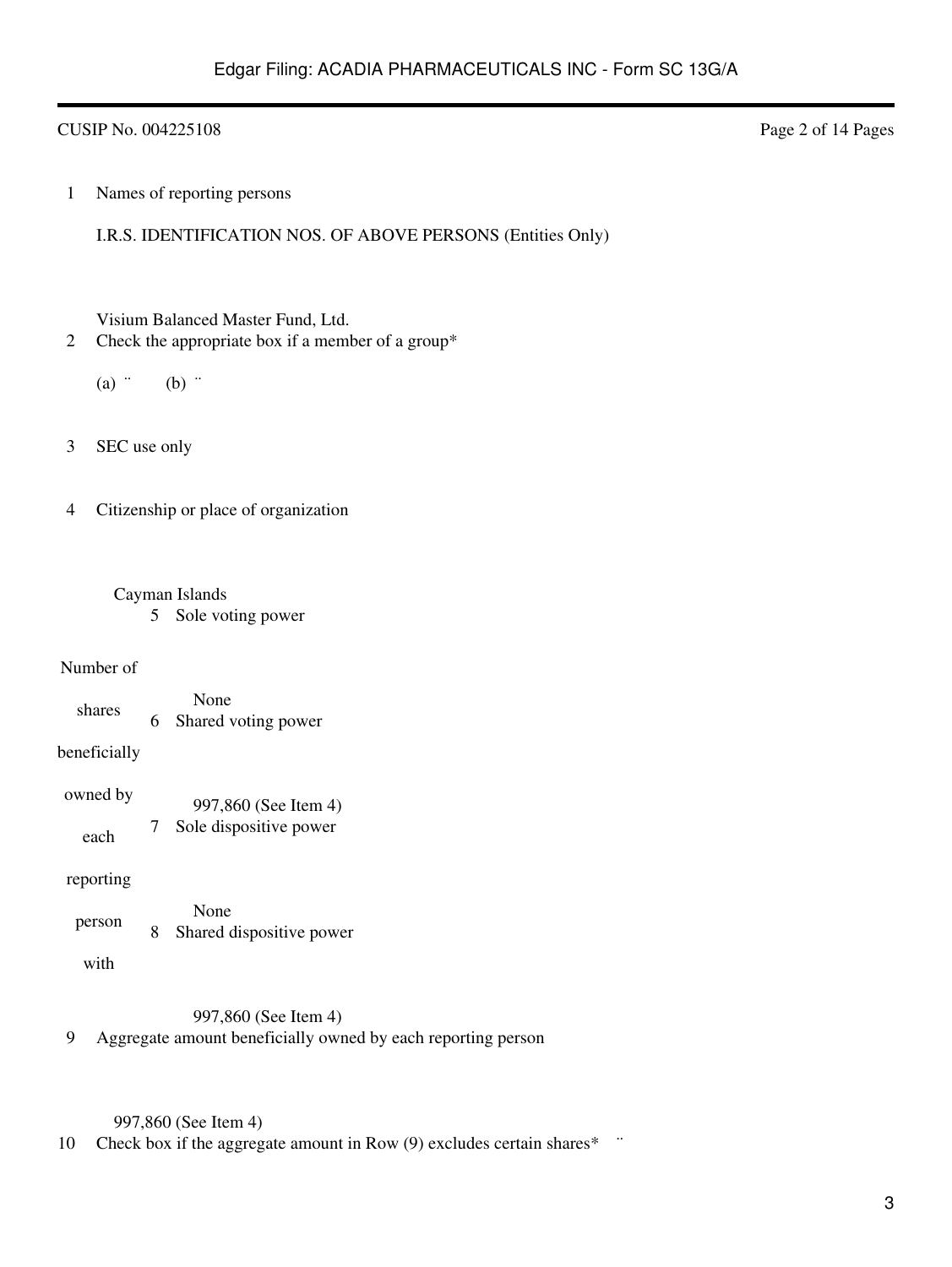## CUSIP No. 004225108 Page 2 of 14 Pages

1 Names of reporting persons

I.R.S. IDENTIFICATION NOS. OF ABOVE PERSONS (Entities Only)

Visium Balanced Master Fund, Ltd.

- 2 Check the appropriate box if a member of a group\*
	- $(a)$   $\ddots$  (b)  $\ddots$
- 3 SEC use only

4 Citizenship or place of organization

## Cayman Islands

5 Sole voting power

### Number of

shares None 6 Shared voting power

### beneficially

| owned by | 997,860 (See Item 4)     |
|----------|--------------------------|
| each     | 7 Sole dispositive power |

### reporting

| person | None<br>Shared dispositive power |
|--------|----------------------------------|
|        |                                  |

with

### 997,860 (See Item 4)

9 Aggregate amount beneficially owned by each reporting person

### 997,860 (See Item 4)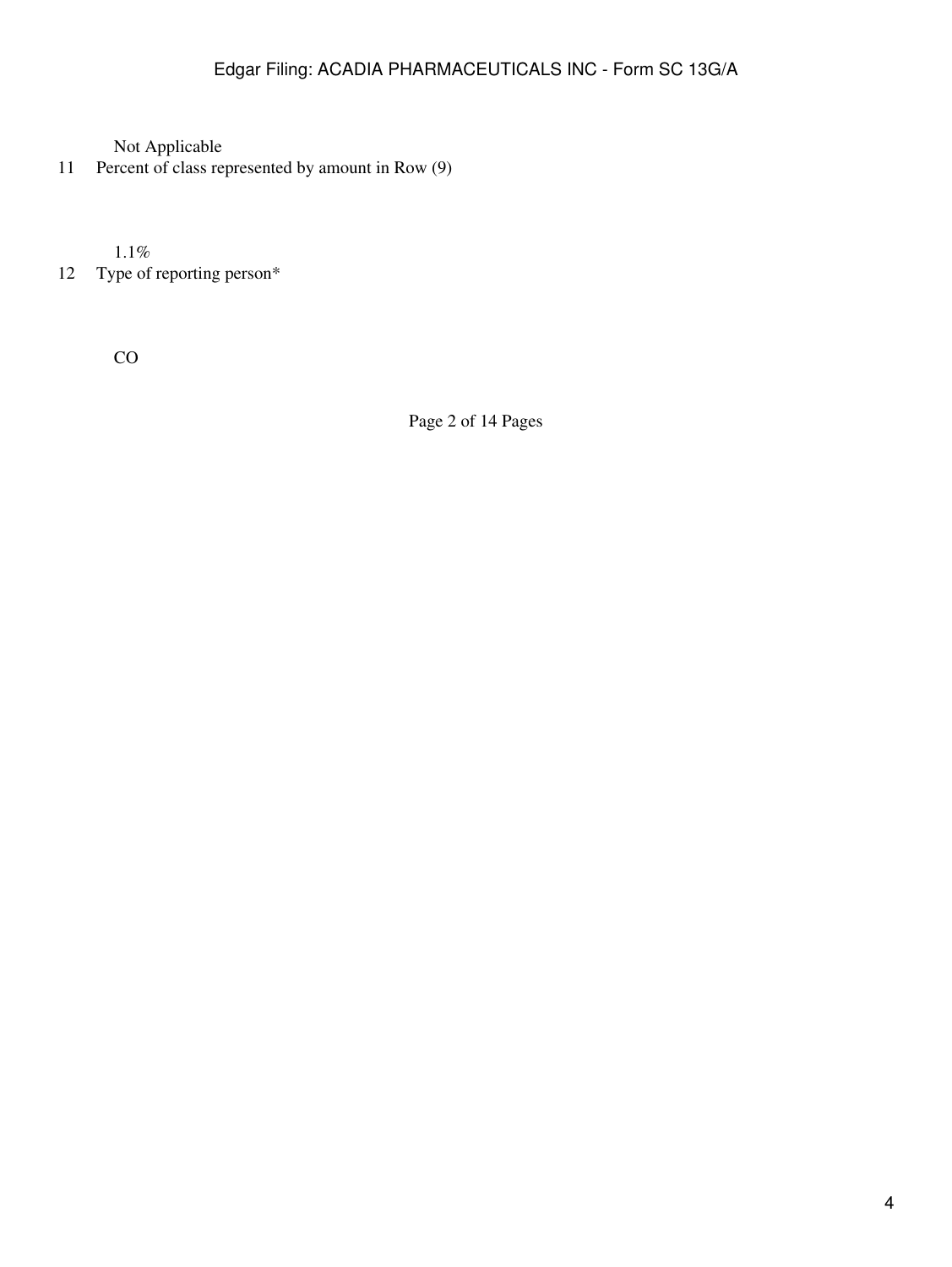11 Percent of class represented by amount in Row (9)

1.1%

12 Type of reporting person\*

CO

Page 2 of 14 Pages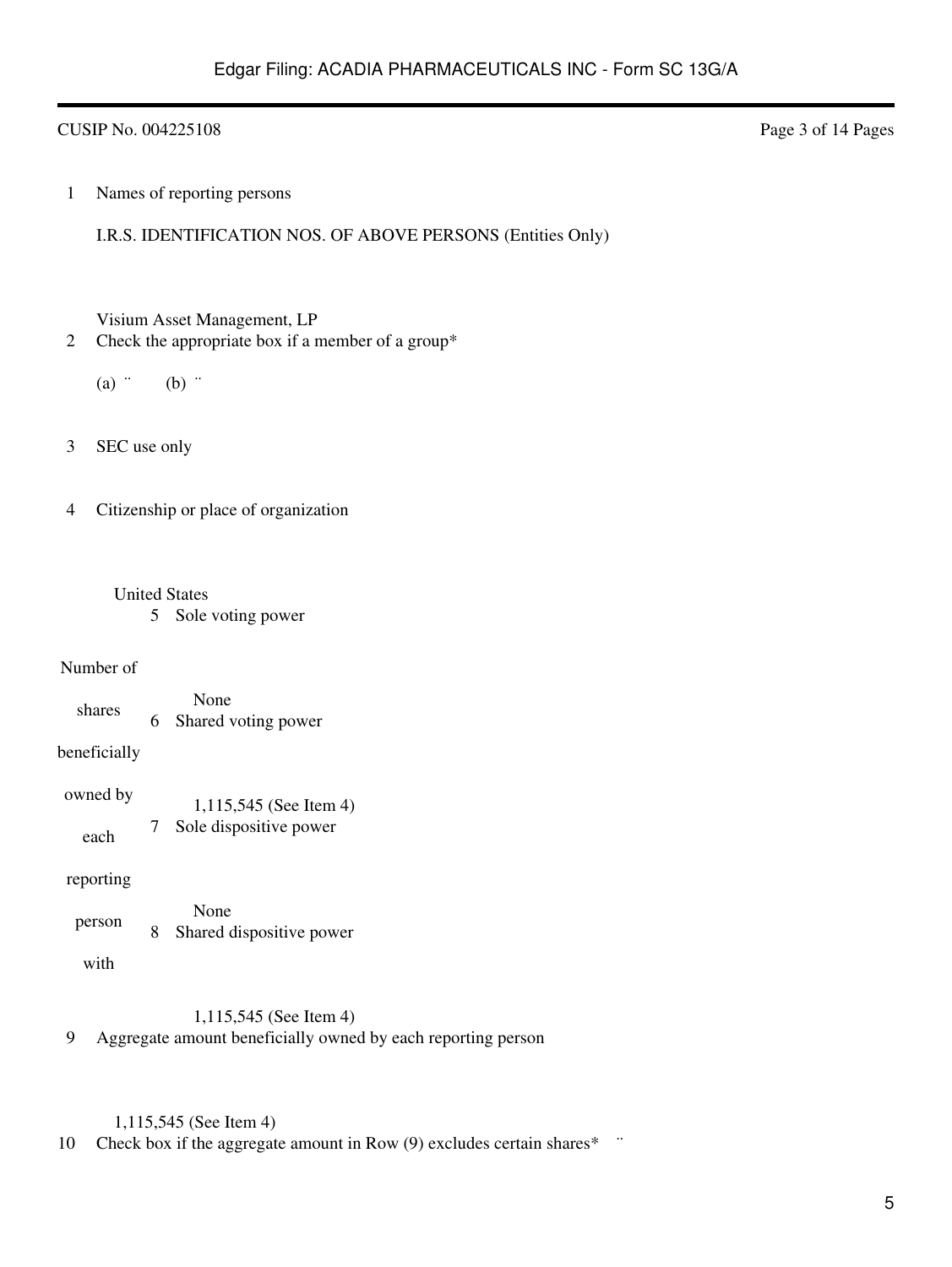## CUSIP No. 004225108 Page 3 of 14 Pages

1 Names of reporting persons

I.R.S. IDENTIFICATION NOS. OF ABOVE PERSONS (Entities Only)

Visium Asset Management, LP

- 2 Check the appropriate box if a member of a group\*
	- $(a)$   $\dddot{b}$   $(b)$   $\dddot{c}$
- 3 SEC use only

4 Citizenship or place of organization

### United States

5 Sole voting power

### Number of

shares None 6 Shared voting power

### beneficially

| owned by | 1,115,545 (See Item 4) |
|----------|------------------------|
| each     | Sole dispositive power |

### reporting

| person |  | None<br>Shared dispositive power |
|--------|--|----------------------------------|
|--------|--|----------------------------------|

with

### 1,115,545 (See Item 4)

9 Aggregate amount beneficially owned by each reporting person

## 1,115,545 (See Item 4)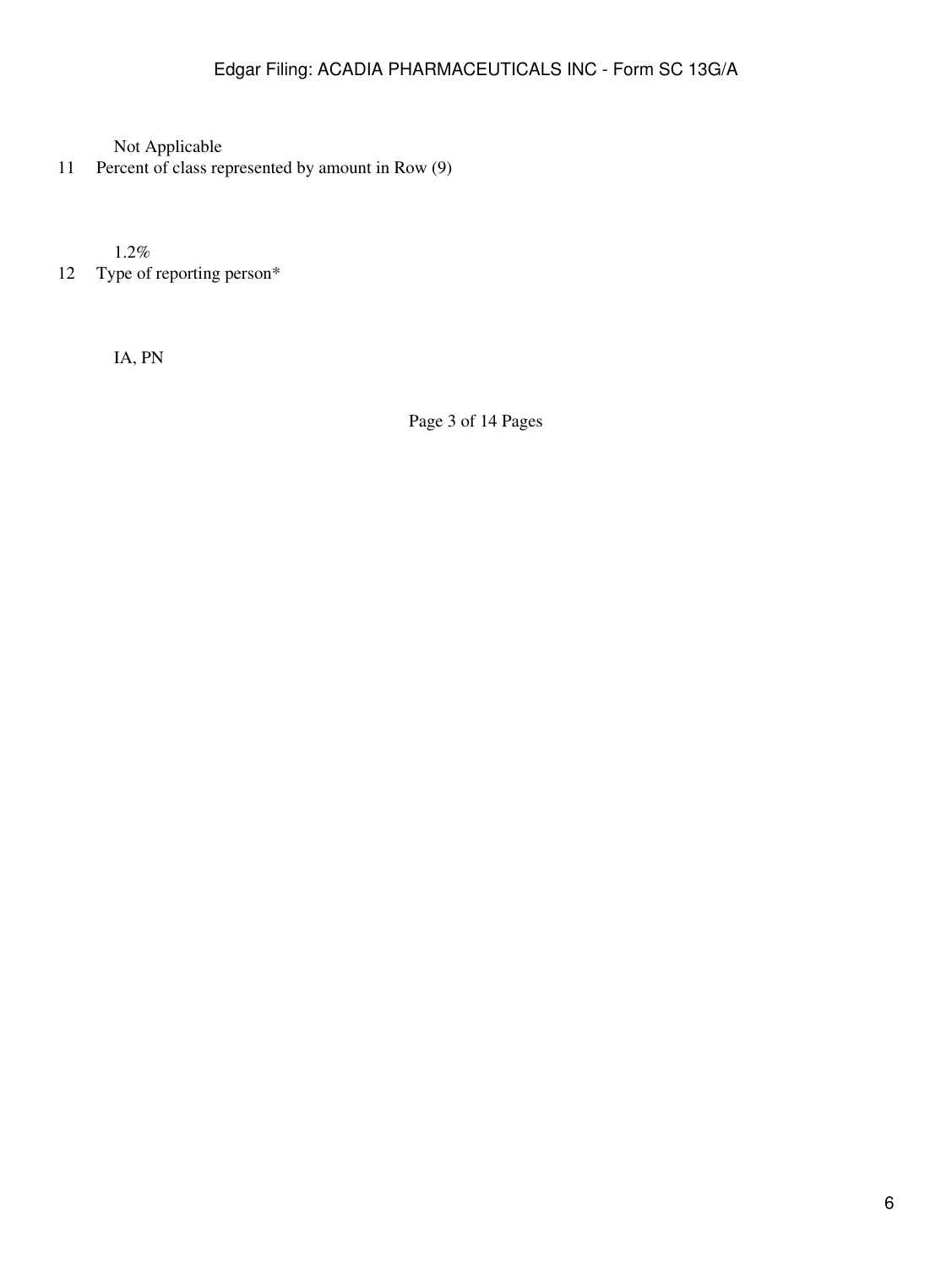11 Percent of class represented by amount in Row (9)

1.2%

12 Type of reporting person\*

IA, PN

Page 3 of 14 Pages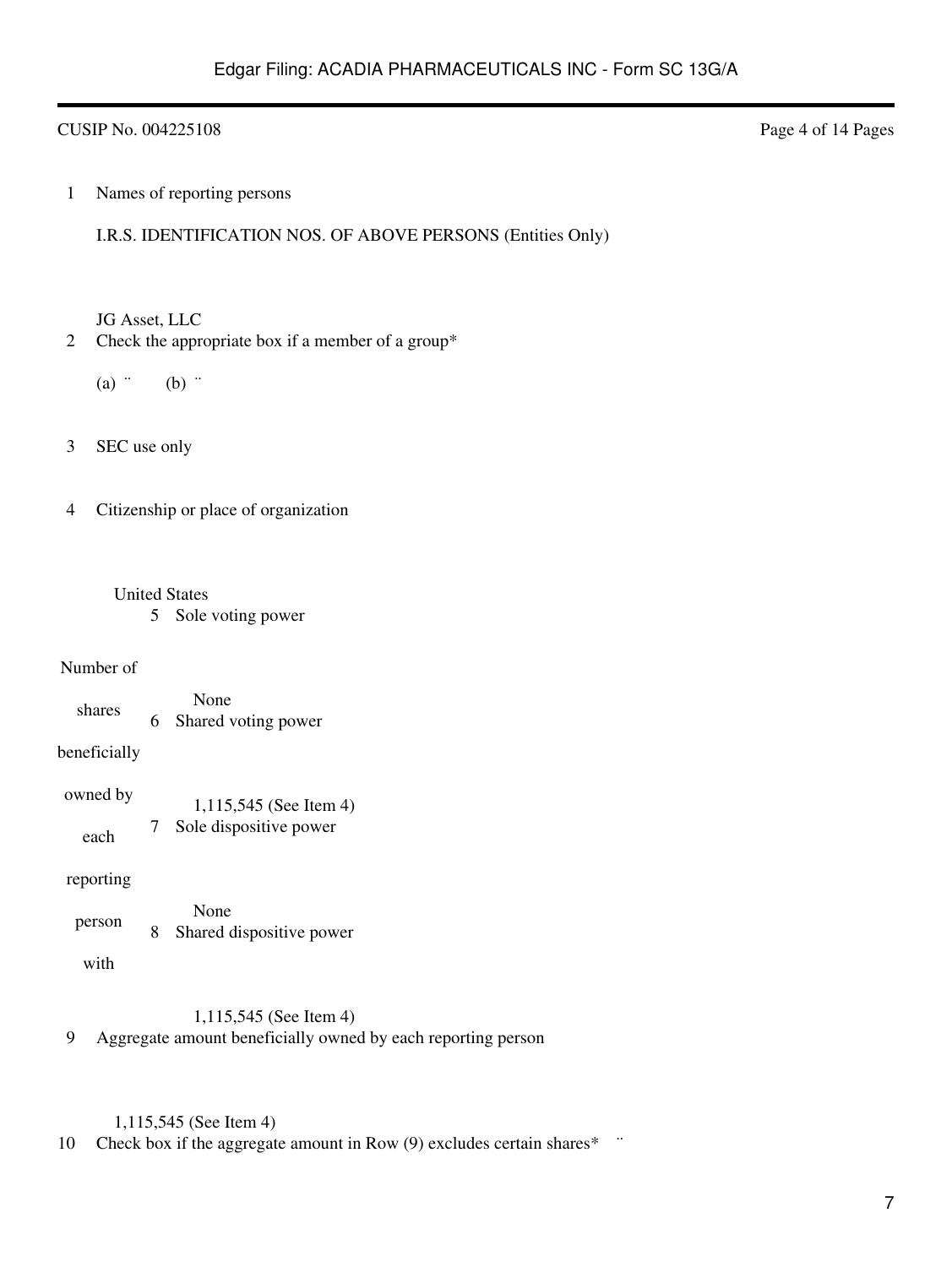## CUSIP No. 004225108 Page 4 of 14 Pages

1 Names of reporting persons

I.R.S. IDENTIFICATION NOS. OF ABOVE PERSONS (Entities Only)

JG Asset, LLC

- 2 Check the appropriate box if a member of a group\*
	- $(a)$   $\dddot{b}$   $(b)$   $\dddot{c}$
- 3 SEC use only

4 Citizenship or place of organization

### United States

5 Sole voting power

### Number of

shares None 6 Shared voting power

# beneficially

| owned by | 1,115,545 (See Item 4) |
|----------|------------------------|
| each     | Sole dispositive power |

### reporting

| person |  | None<br>Shared dispositive power |
|--------|--|----------------------------------|
|--------|--|----------------------------------|

with

### 1,115,545 (See Item 4)

9 Aggregate amount beneficially owned by each reporting person

# 1,115,545 (See Item 4)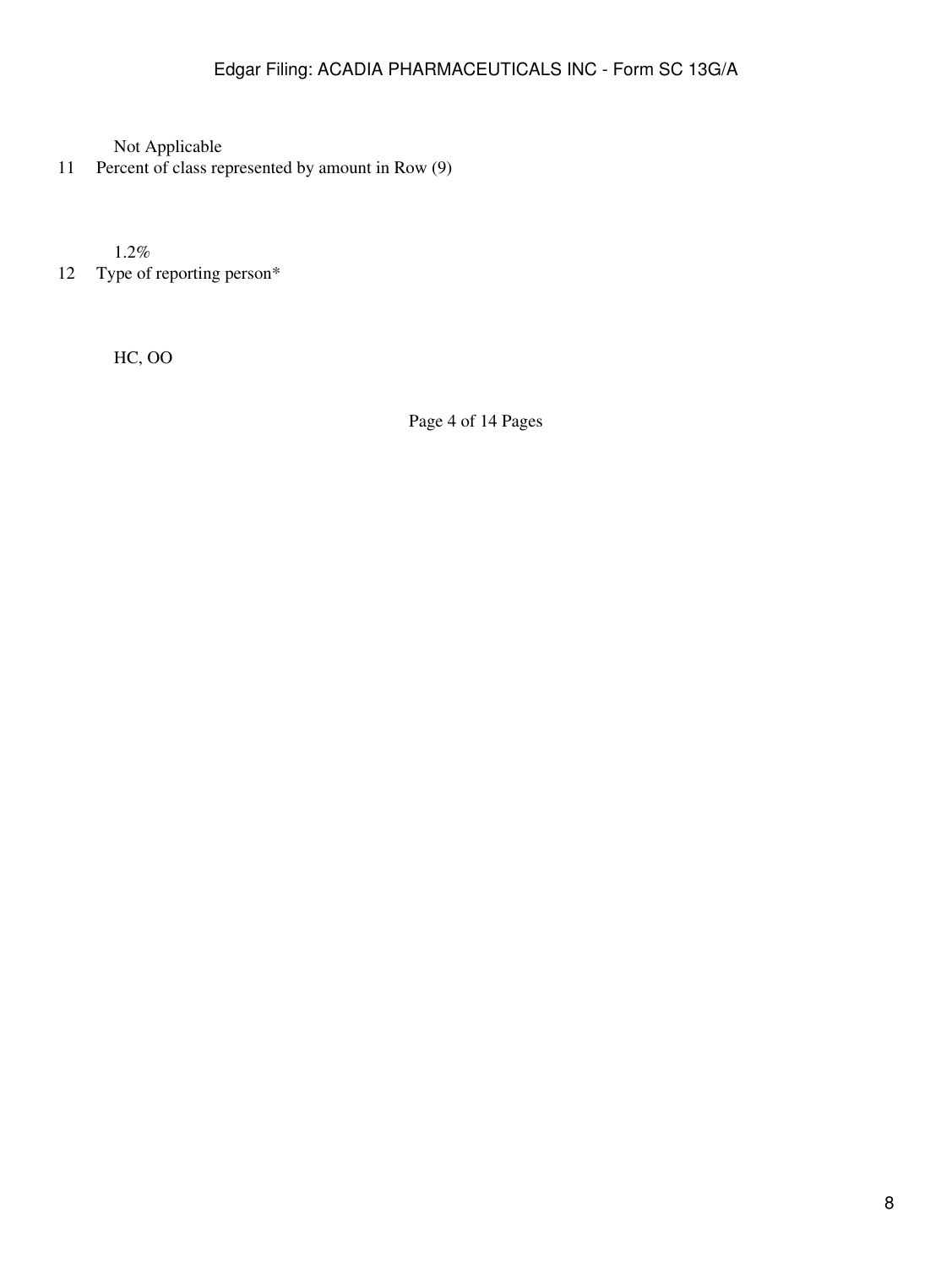11 Percent of class represented by amount in Row (9)

1.2%

12 Type of reporting person\*

HC, OO

Page 4 of 14 Pages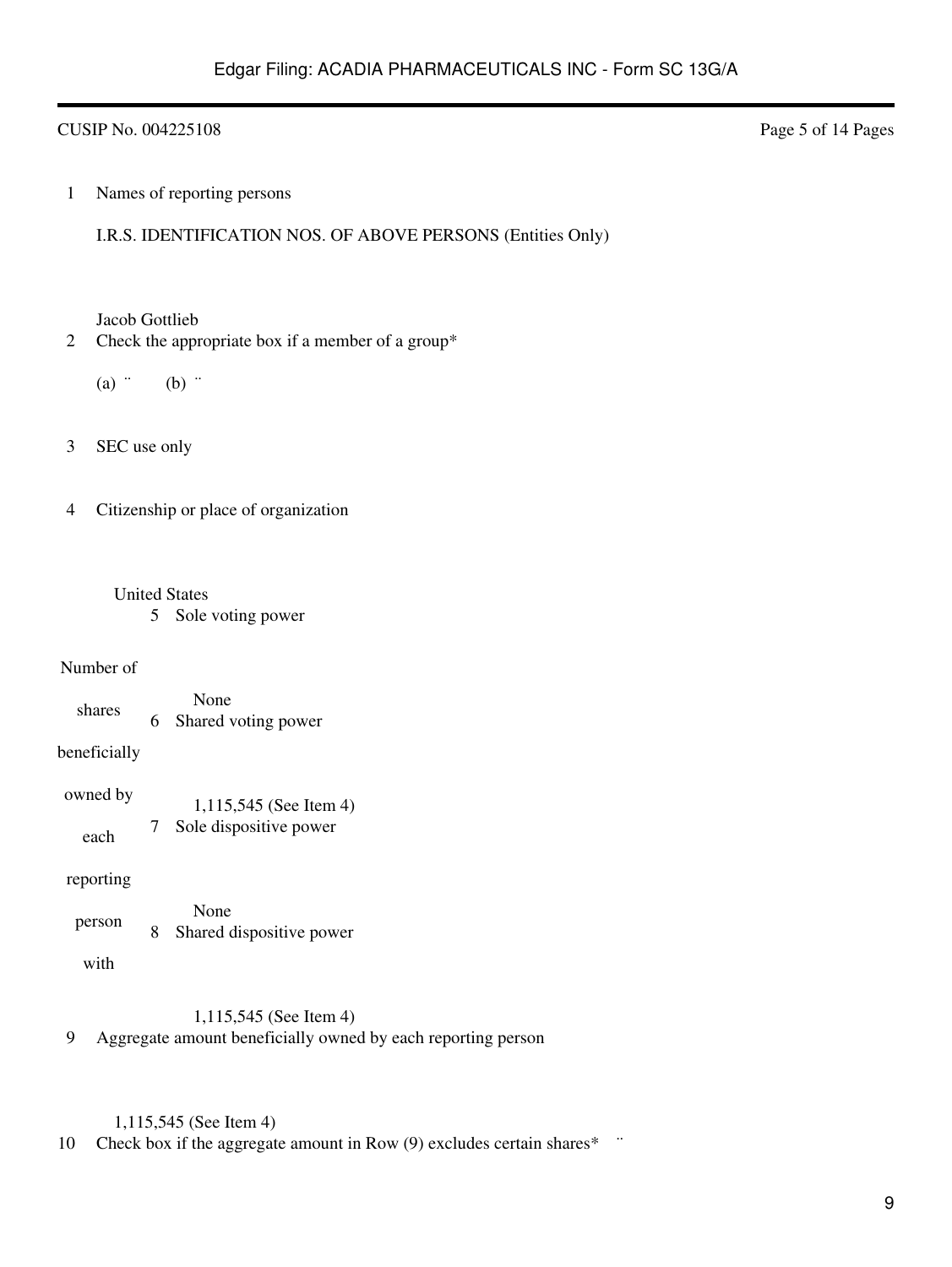## CUSIP No. 004225108 Page 5 of 14 Pages

1 Names of reporting persons

I.R.S. IDENTIFICATION NOS. OF ABOVE PERSONS (Entities Only)

Jacob Gottlieb

- 2 Check the appropriate box if a member of a group\*
	- $(a)$   $\dddot{b}$   $(b)$   $\dddot{c}$
- 3 SEC use only

4 Citizenship or place of organization

### United States

5 Sole voting power

### Number of

shares None 6 Shared voting power

### beneficially

| owned by | 1,115,545 (See Item 4) |
|----------|------------------------|
| each     | Sole dispositive power |

### reporting

| person |  | None<br>Shared dispositive power |
|--------|--|----------------------------------|
|--------|--|----------------------------------|

with

### 1,115,545 (See Item 4)

9 Aggregate amount beneficially owned by each reporting person

# 1,115,545 (See Item 4)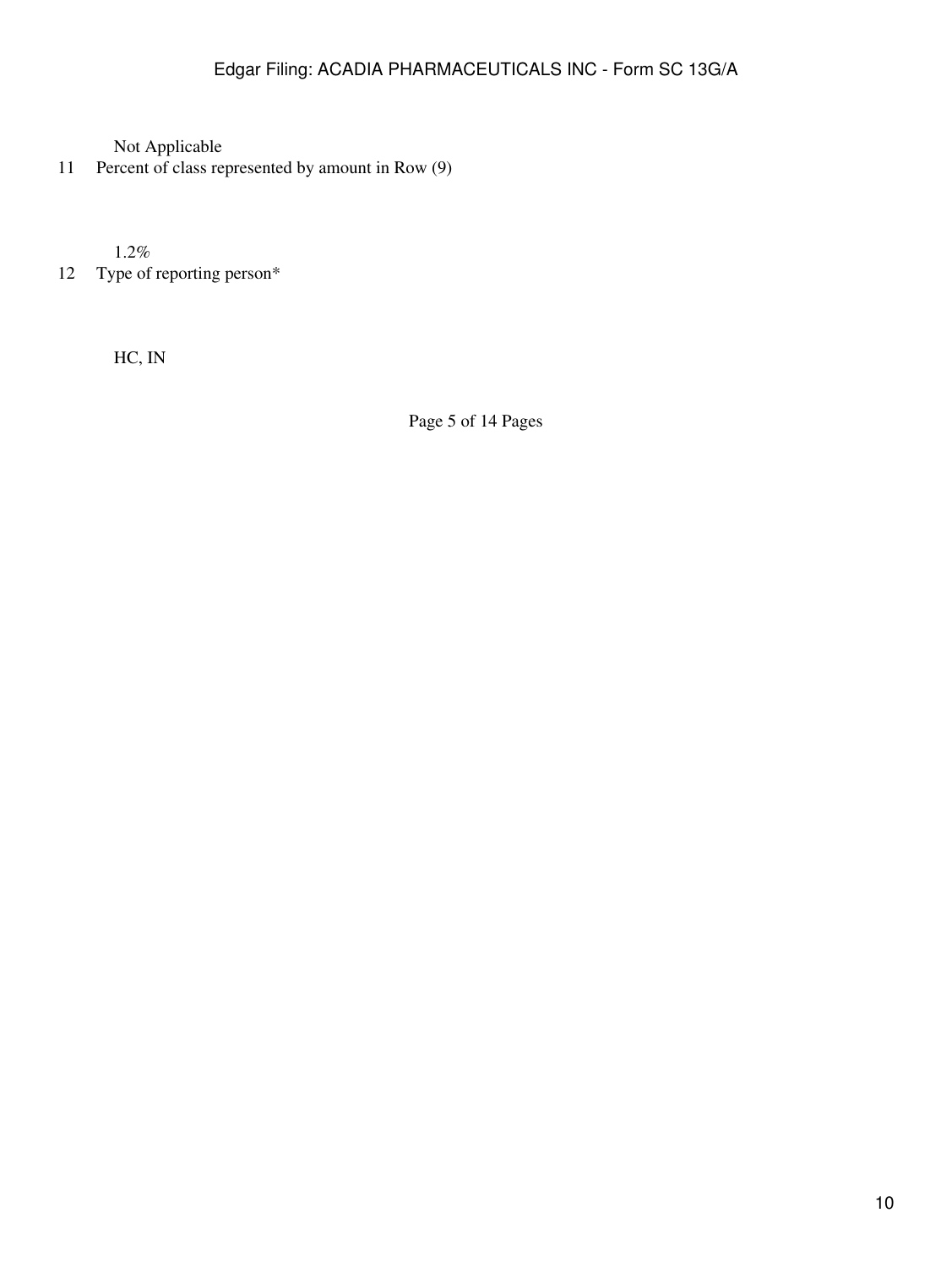11 Percent of class represented by amount in Row (9)

1.2%

12 Type of reporting person\*

HC, IN

Page 5 of 14 Pages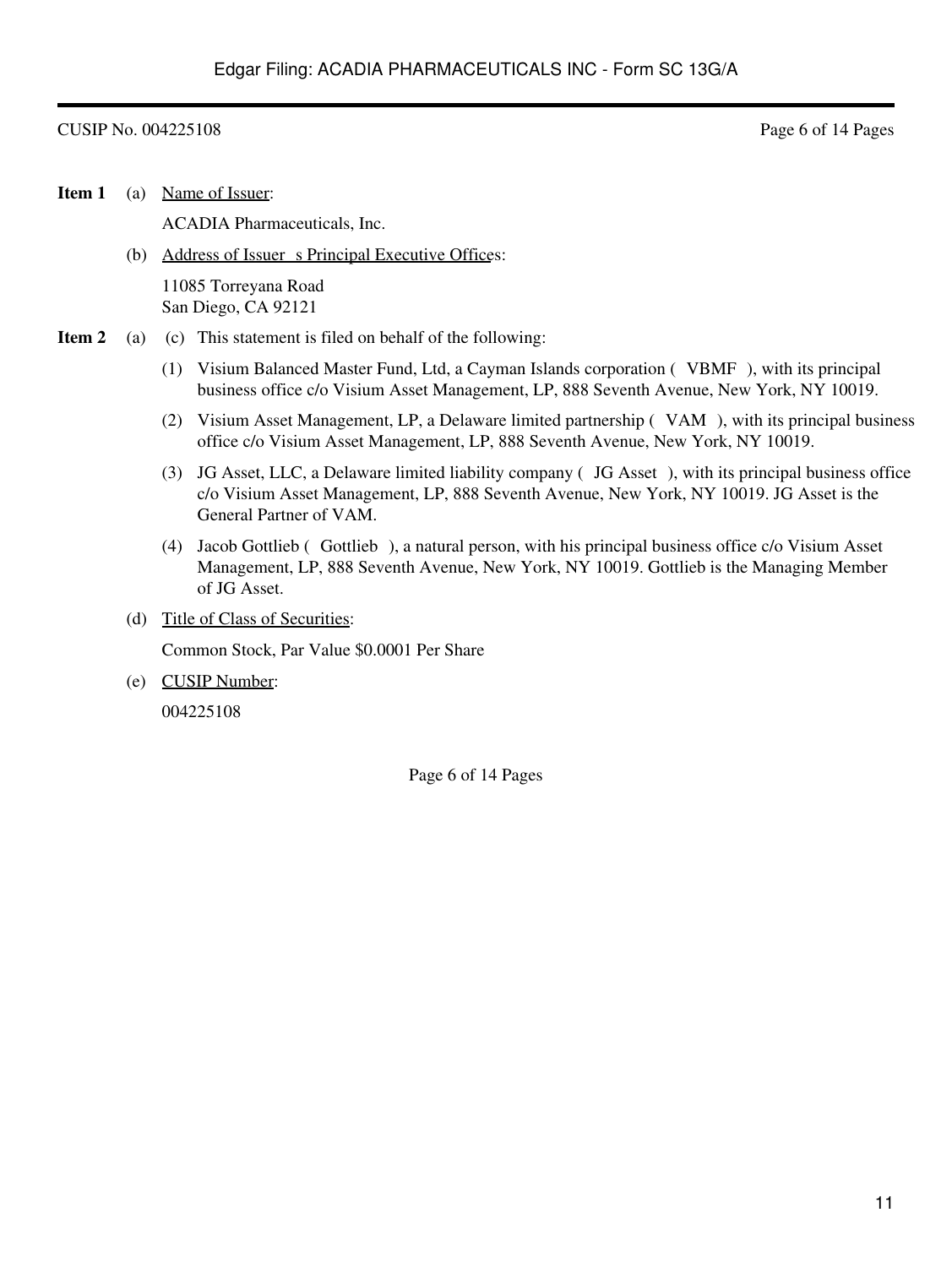### CUSIP No. 004225108 Page 6 of 14 Pages

**Item 1** (a) Name of Issuer:

ACADIA Pharmaceuticals, Inc.

(b) Address of Issuer s Principal Executive Offices:

11085 Torreyana Road San Diego, CA 92121

- **Item 2** (a) (c) This statement is filed on behalf of the following:
	- (1) Visium Balanced Master Fund, Ltd, a Cayman Islands corporation (VBMF), with its principal business office c/o Visium Asset Management, LP, 888 Seventh Avenue, New York, NY 10019.
	- (2) Visium Asset Management, LP, a Delaware limited partnership (VAM), with its principal business office c/o Visium Asset Management, LP, 888 Seventh Avenue, New York, NY 10019.
	- (3) JG Asset, LLC, a Delaware limited liability company (JG Asset), with its principal business office c/o Visium Asset Management, LP, 888 Seventh Avenue, New York, NY 10019. JG Asset is the General Partner of VAM.
	- (4) Jacob Gottlieb (Gottlieb), a natural person, with his principal business office c/o Visium Asset Management, LP, 888 Seventh Avenue, New York, NY 10019. Gottlieb is the Managing Member of JG Asset.
	- (d) Title of Class of Securities:

Common Stock, Par Value \$0.0001 Per Share

(e) CUSIP Number:

004225108

Page 6 of 14 Pages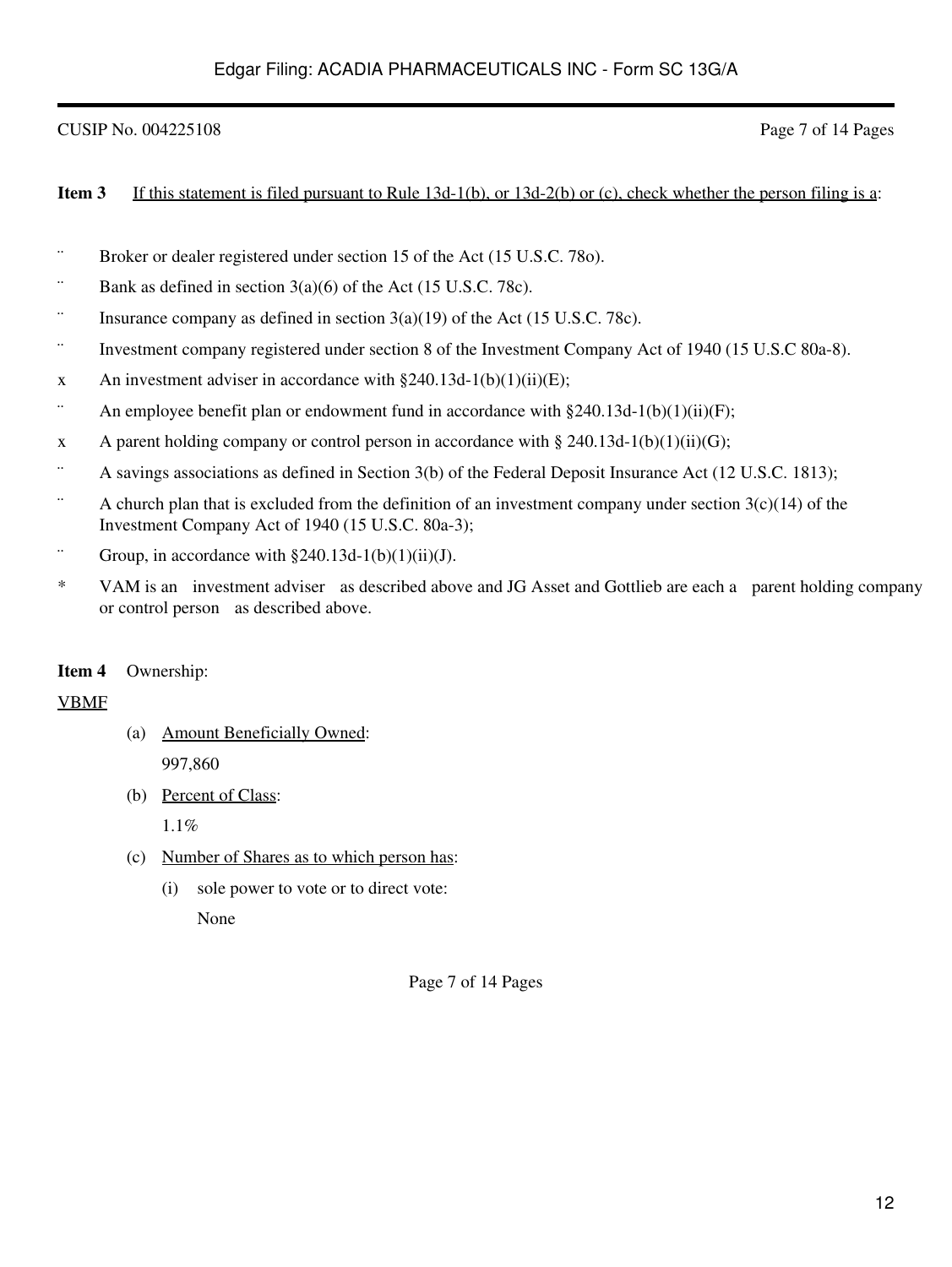# CUSIP No. 004225108 Page 7 of 14 Pages

### **Item 3** If this statement is filed pursuant to Rule 13d-1(b), or 13d-2(b) or (c), check whether the person filing is a:

- ¨ Broker or dealer registered under section 15 of the Act (15 U.S.C. 78o).
- $\dddot{\text{B}}$  Bank as defined in section 3(a)(6) of the Act (15 U.S.C. 78c).
- $\dddot{\text{S}}$  Insurance company as defined in section 3(a)(19) of the Act (15 U.S.C. 78c).
- ¨ Investment company registered under section 8 of the Investment Company Act of 1940 (15 U.S.C 80a-8).
- x An investment adviser in accordance with  $\S 240.13d-1(b)(1)(ii)(E)$ ;
- $\ddot{\text{a}}$  An employee benefit plan or endowment fund in accordance with §240.13d-1(b)(1)(ii)(F);
- x A parent holding company or control person in accordance with § 240.13d-1(b)(1)(ii)(G);
- ¨ A savings associations as defined in Section 3(b) of the Federal Deposit Insurance Act (12 U.S.C. 1813);
- $\ddot{\text{a}}$  A church plan that is excluded from the definition of an investment company under section 3(c)(14) of the Investment Company Act of 1940 (15 U.S.C. 80a-3);
- $\therefore$  Group, in accordance with §240.13d-1(b)(1)(ii)(J).
- \* VAM is an investment adviser as described above and JG Asset and Gottlieb are each a parent holding company or control person as described above.

### **Item 4** Ownership:

### VBMF

- (a) Amount Beneficially Owned: 997,860
- (b) Percent of Class:

1.1%

- (c) Number of Shares as to which person has:
	- (i) sole power to vote or to direct vote:

None

Page 7 of 14 Pages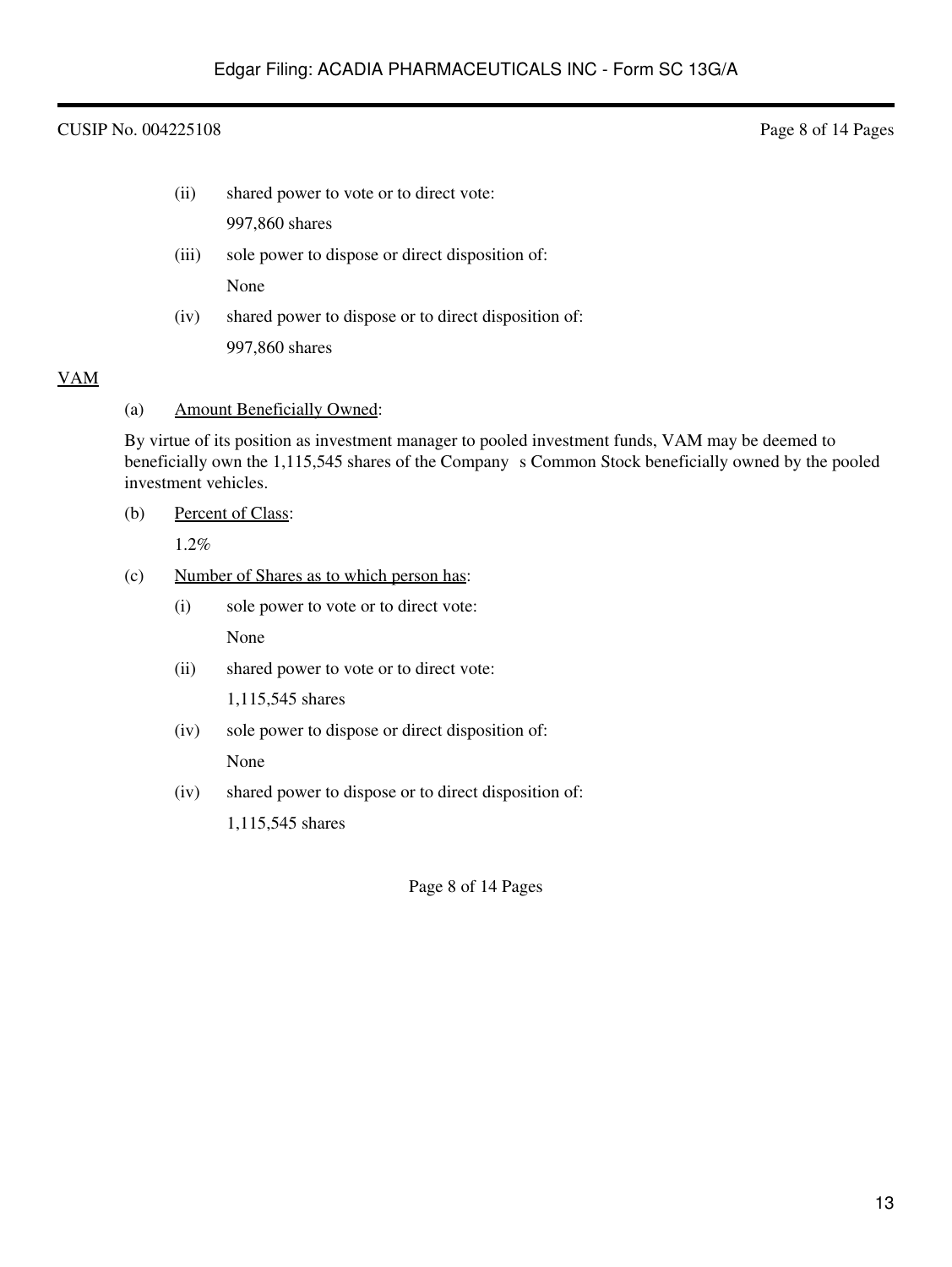### CUSIP No. 004225108 Page 8 of 14 Pages

(ii) shared power to vote or to direct vote:

997,860 shares

(iii) sole power to dispose or direct disposition of:

None

(iv) shared power to dispose or to direct disposition of: 997,860 shares

# VAM

(a) Amount Beneficially Owned:

By virtue of its position as investment manager to pooled investment funds, VAM may be deemed to beneficially own the 1,115,545 shares of the Company s Common Stock beneficially owned by the pooled investment vehicles.

(b) Percent of Class:

1.2%

- (c) Number of Shares as to which person has:
	- (i) sole power to vote or to direct vote: None
	- (ii) shared power to vote or to direct vote:

1,115,545 shares

- (iv) sole power to dispose or direct disposition of: None
- (iv) shared power to dispose or to direct disposition of:

1,115,545 shares

Page 8 of 14 Pages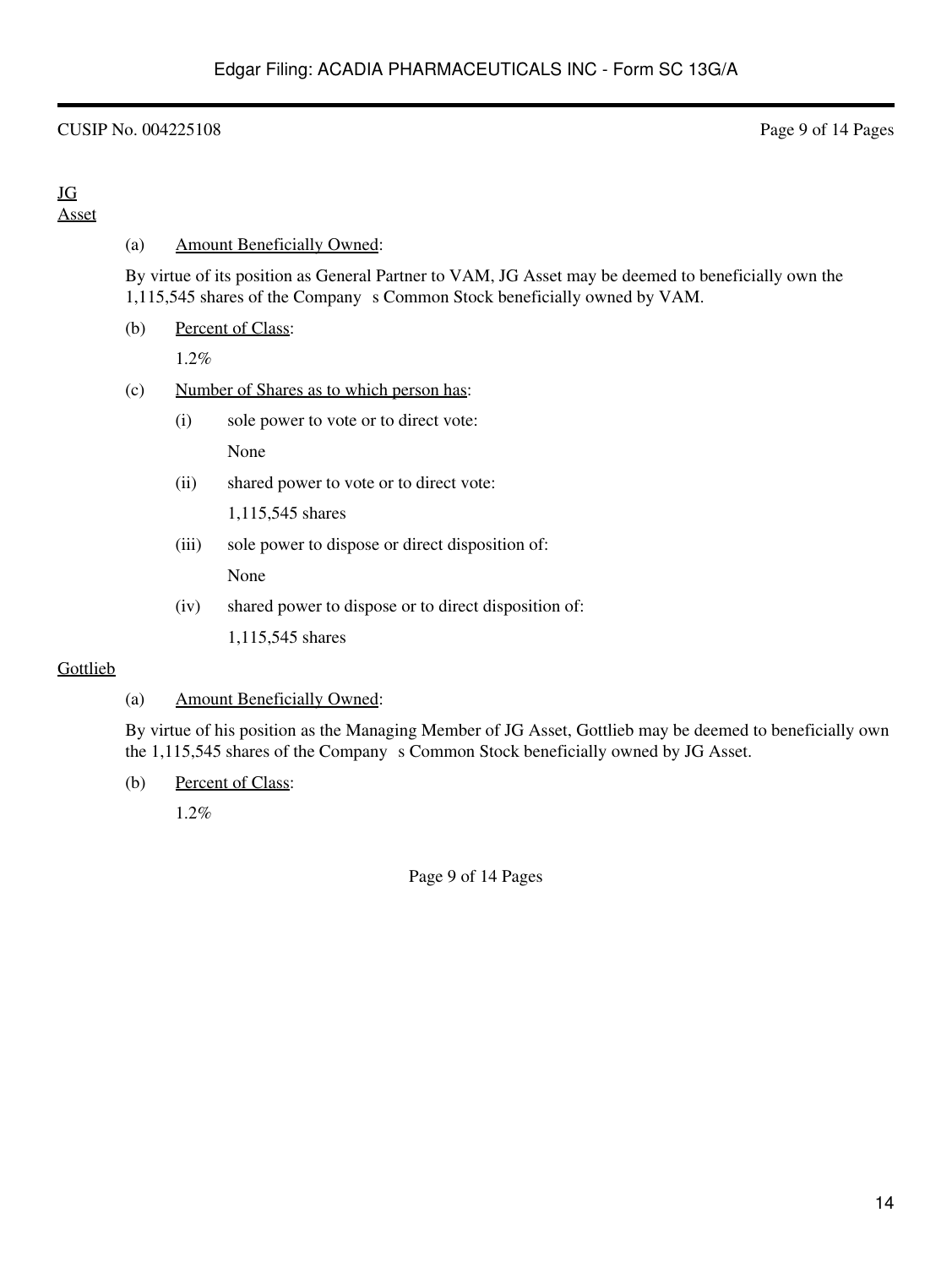## CUSIP No. 004225108 Page 9 of 14 Pages

### JG Asset

### (a) Amount Beneficially Owned:

By virtue of its position as General Partner to VAM, JG Asset may be deemed to beneficially own the 1,115,545 shares of the Company s Common Stock beneficially owned by VAM.

(b) Percent of Class:

1.2%

### (c) Number of Shares as to which person has:

- (i) sole power to vote or to direct vote: None
- (ii) shared power to vote or to direct vote:

1,115,545 shares

(iii) sole power to dispose or direct disposition of:

None

(iv) shared power to dispose or to direct disposition of:

1,115,545 shares

### **Gottlieb**

### (a) Amount Beneficially Owned:

By virtue of his position as the Managing Member of JG Asset, Gottlieb may be deemed to beneficially own the 1,115,545 shares of the Company s Common Stock beneficially owned by JG Asset.

(b) Percent of Class:

1.2%

Page 9 of 14 Pages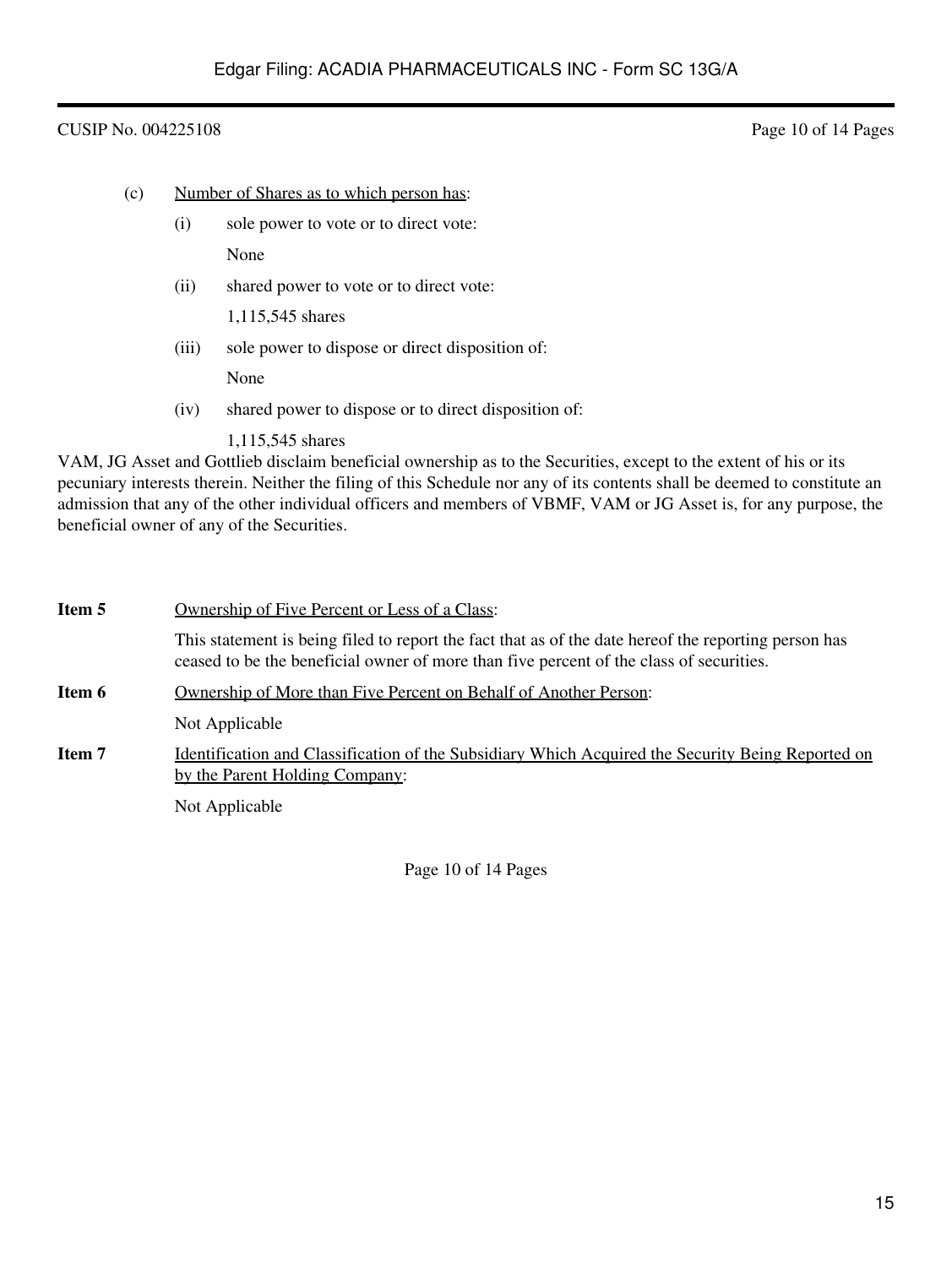### CUSIP No. 004225108 Page 10 of 14 Pages

- (c) Number of Shares as to which person has:
	- (i) sole power to vote or to direct vote:

None

(ii) shared power to vote or to direct vote:

1,115,545 shares

(iii) sole power to dispose or direct disposition of:

None

- (iv) shared power to dispose or to direct disposition of:
	- 1,115,545 shares

VAM, JG Asset and Gottlieb disclaim beneficial ownership as to the Securities, except to the extent of his or its pecuniary interests therein. Neither the filing of this Schedule nor any of its contents shall be deemed to constitute an admission that any of the other individual officers and members of VBMF, VAM or JG Asset is, for any purpose, the beneficial owner of any of the Securities.

| Item 5 | Ownership of Five Percent or Less of a Class:                                                                                                                                                   |
|--------|-------------------------------------------------------------------------------------------------------------------------------------------------------------------------------------------------|
|        | This statement is being filed to report the fact that as of the date hereof the reporting person has<br>ceased to be the beneficial owner of more than five percent of the class of securities. |
| Item 6 | Ownership of More than Five Percent on Behalf of Another Person:                                                                                                                                |
|        | Not Applicable                                                                                                                                                                                  |
| Item 7 | <u>Identification and Classification of the Subsidiary Which Acquired the Security Being Reported on</u><br>by the Parent Holding Company:                                                      |
|        | Not Applicable                                                                                                                                                                                  |

Page 10 of 14 Pages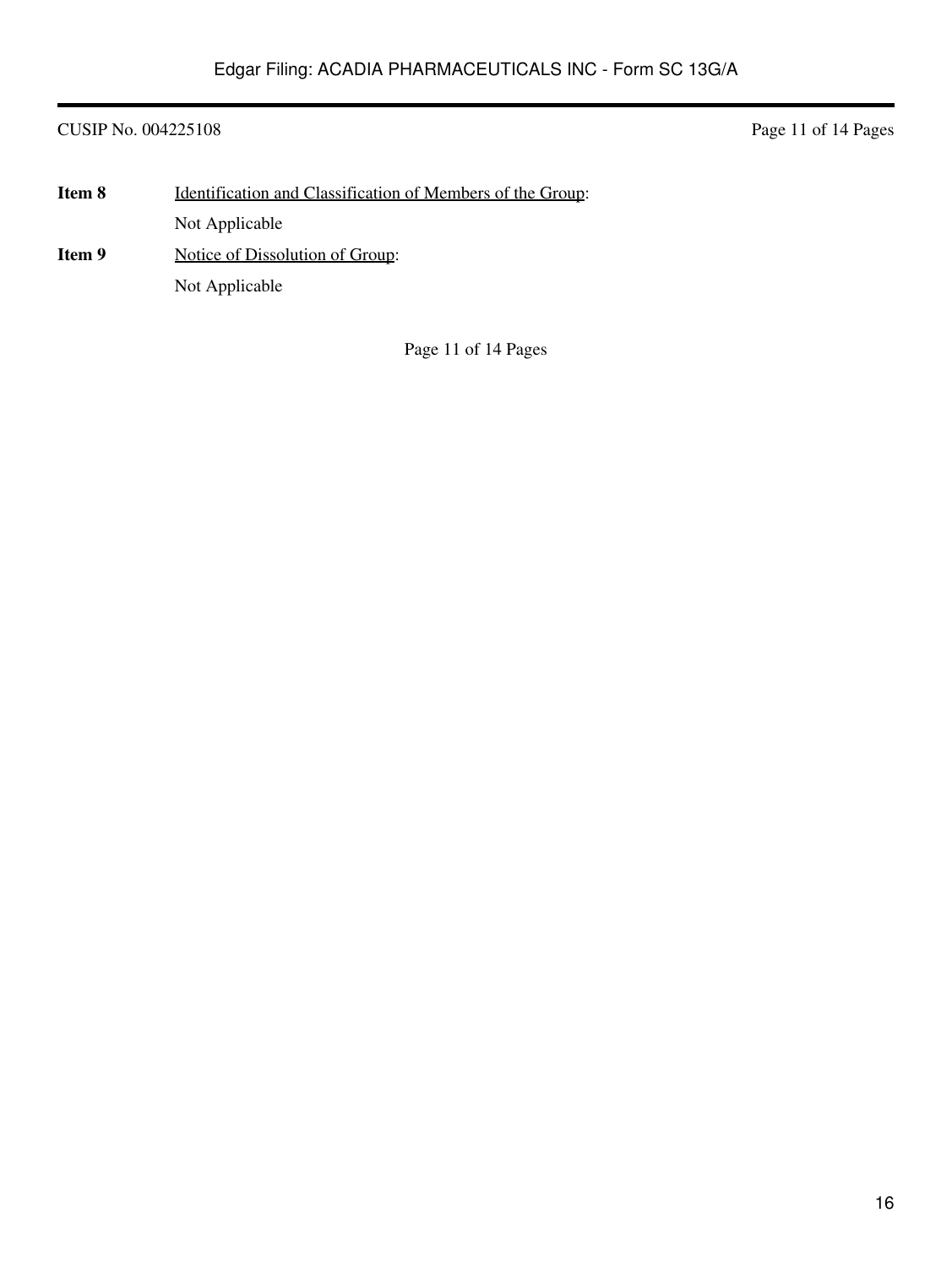CUSIP No. 004225108 Page 11 of 14 Pages

| Item 8 | <u>Identification and Classification of Members of the Group:</u> |
|--------|-------------------------------------------------------------------|
|        | Not Applicable                                                    |
| Item 9 | Notice of Dissolution of Group:                                   |
|        | Not Applicable                                                    |

Page 11 of 14 Pages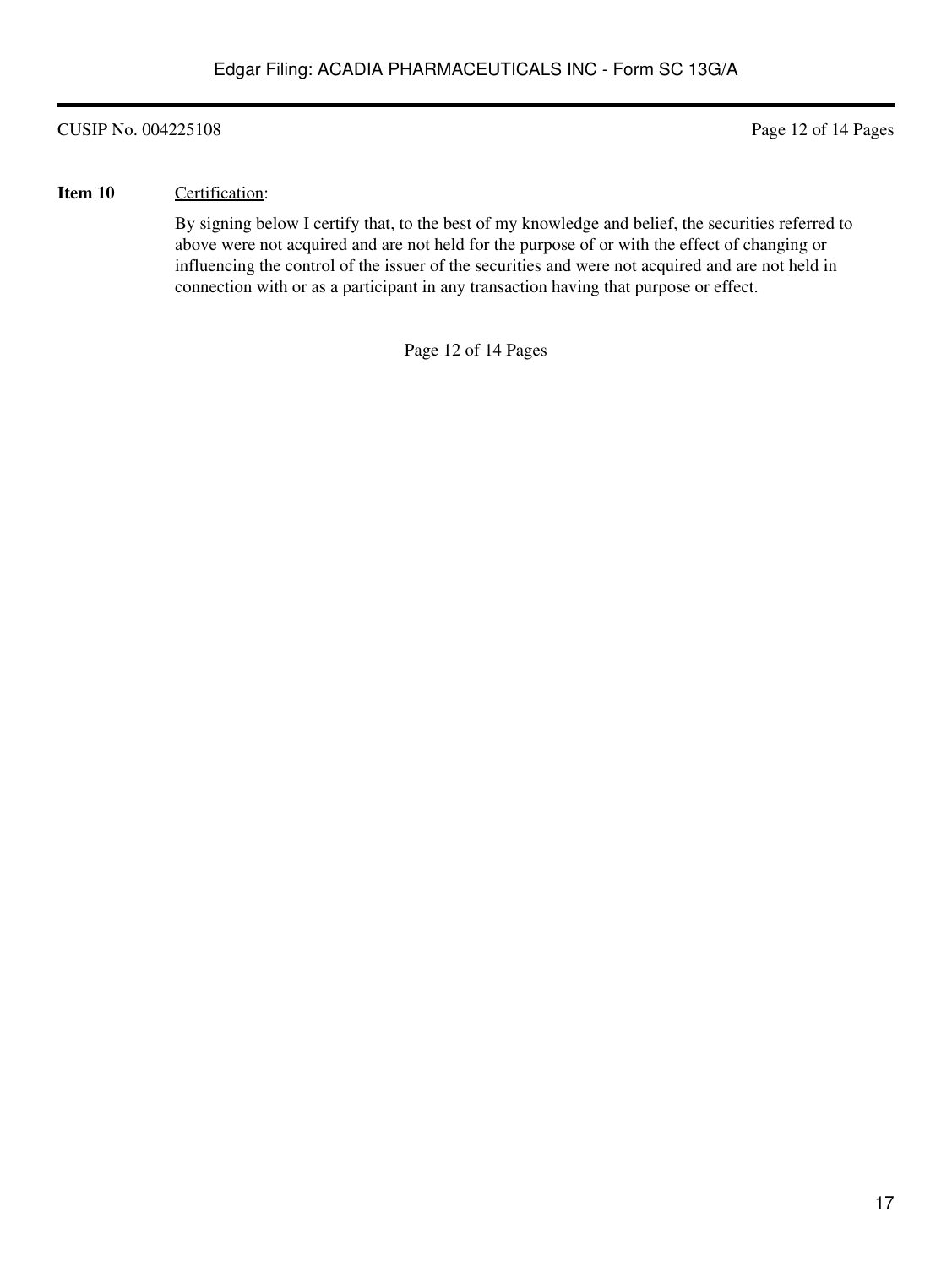CUSIP No. 004225108 Page 12 of 14 Pages

### **Item 10** Certification:

By signing below I certify that, to the best of my knowledge and belief, the securities referred to above were not acquired and are not held for the purpose of or with the effect of changing or influencing the control of the issuer of the securities and were not acquired and are not held in connection with or as a participant in any transaction having that purpose or effect.

Page 12 of 14 Pages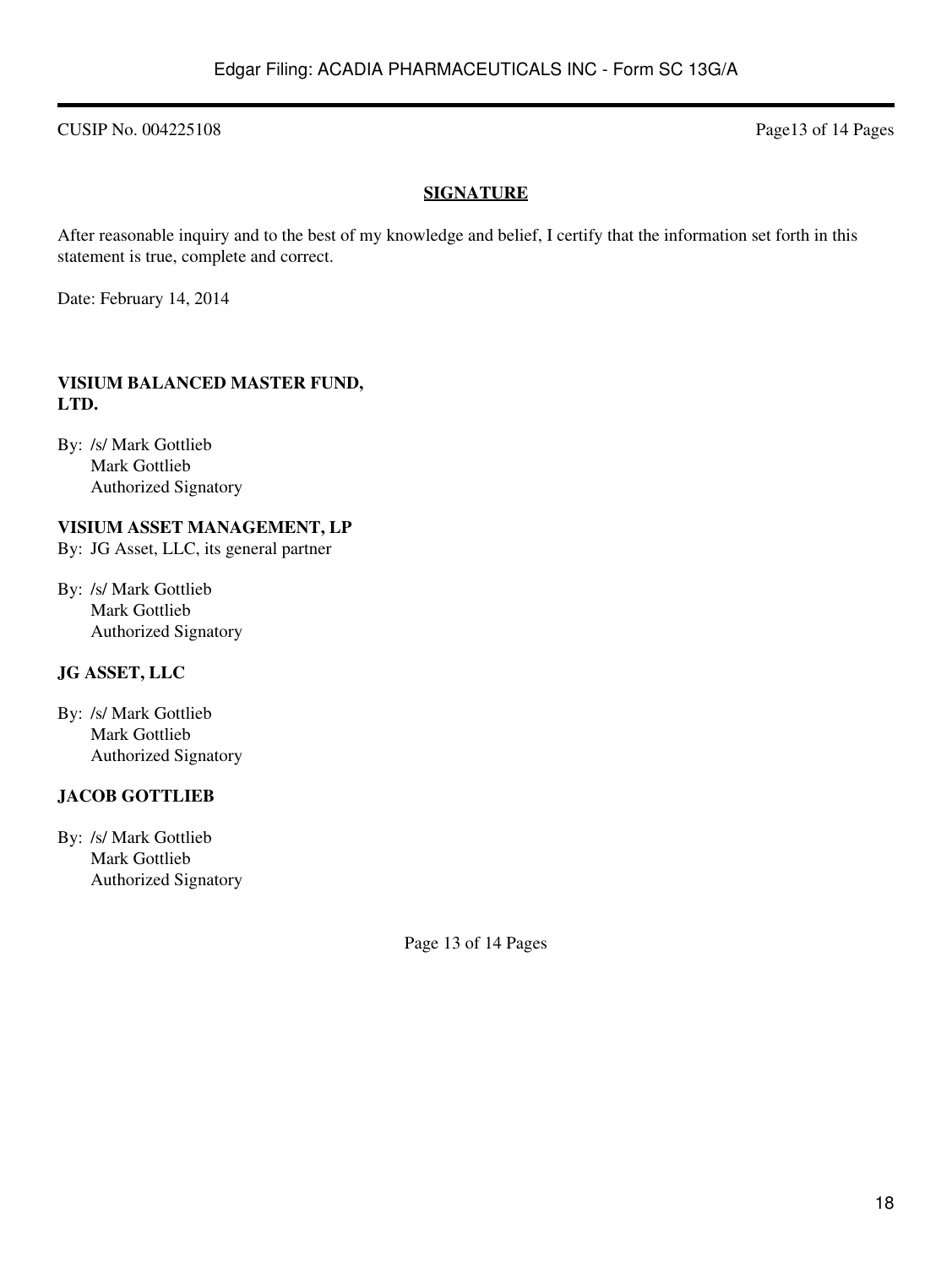CUSIP No. 004225108 Page13 of 14 Pages

# **SIGNATURE**

After reasonable inquiry and to the best of my knowledge and belief, I certify that the information set forth in this statement is true, complete and correct.

Date: February 14, 2014

## **VISIUM BALANCED MASTER FUND, LTD.**

By: /s/ Mark Gottlieb Mark Gottlieb Authorized Signatory

# **VISIUM ASSET MANAGEMENT, LP**

By: JG Asset, LLC, its general partner

By: /s/ Mark Gottlieb Mark Gottlieb Authorized Signatory

# **JG ASSET, LLC**

By: /s/ Mark Gottlieb Mark Gottlieb Authorized Signatory

# **JACOB GOTTLIEB**

By: /s/ Mark Gottlieb Mark Gottlieb Authorized Signatory

Page 13 of 14 Pages